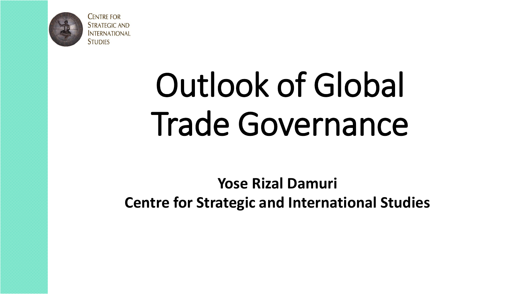

**CENTRE FOR STRATEGIC AND INTERNATIONAL STUDIES** 

# Outlook of Global Trade Governance

**Yose Rizal Damuri Centre for Strategic and International Studies**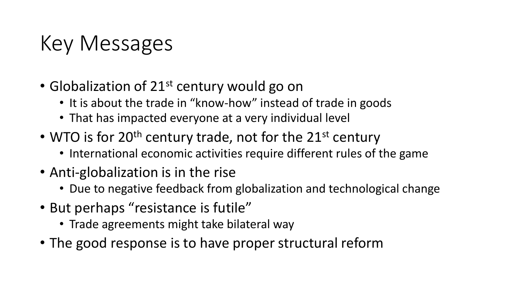## Key Messages

- Globalization of  $21^{st}$  century would go on
	- It is about the trade in "know-how" instead of trade in goods
	- That has impacted everyone at a very individual level
- WTO is for 20<sup>th</sup> century trade, not for the 21<sup>st</sup> century
	- International economic activities require different rules of the game
- Anti-globalization is in the rise
	- Due to negative feedback from globalization and technological change
- But perhaps "resistance is futile"
	- Trade agreements might take bilateral way
- The good response is to have proper structural reform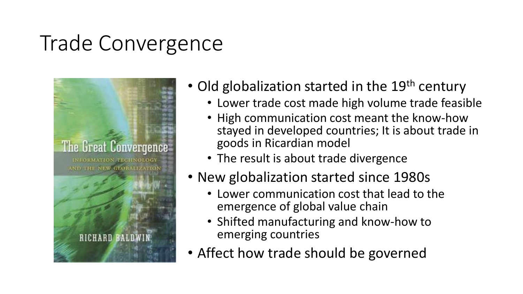## Trade Convergence



- Old globalization started in the  $19<sup>th</sup>$  century
	- Lower trade cost made high volume trade feasible
	- High communication cost meant the know-how stayed in developed countries; It is about trade in goods in Ricardian model
	- The result is about trade divergence
- New globalization started since 1980s
	- Lower communication cost that lead to the emergence of global value chain
	- Shifted manufacturing and know-how to emerging countries
- Affect how trade should be governed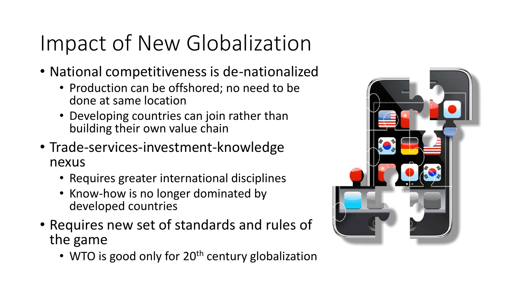## Impact of New Globalization

- National competitiveness is de-nationalized
	- Production can be offshored; no need to be done at same location
	- Developing countries can join rather than building their own value chain
- Trade-services-investment-knowledge nexus
	- Requires greater international disciplines
	- Know-how is no longer dominated by developed countries
- Requires new set of standards and rules of the game
	- WTO is good only for 20<sup>th</sup> century globalization

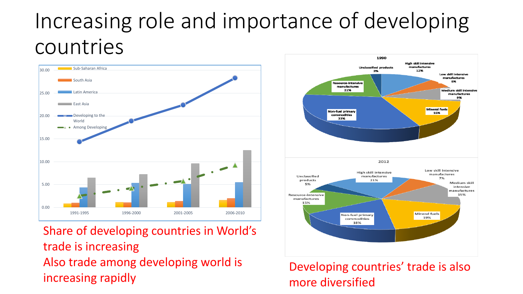## Increasing role and importance of developing countries



Share of developing countries in World's trade is increasing Also trade among developing world is increasing rapidly



Developing countries' trade is also more diversified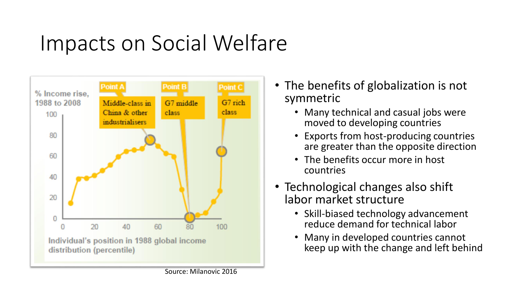## Impacts on Social Welfare



- The benefits of globalization is not symmetric
	- Many technical and casual jobs were moved to developing countries
	- Exports from host-producing countries are greater than the opposite direction
	- The benefits occur more in host countries
- Technological changes also shift labor market structure
	- Skill-biased technology advancement reduce demand for technical labor
	- Many in developed countries cannot keep up with the change and left behind

Source: Milanovic 2016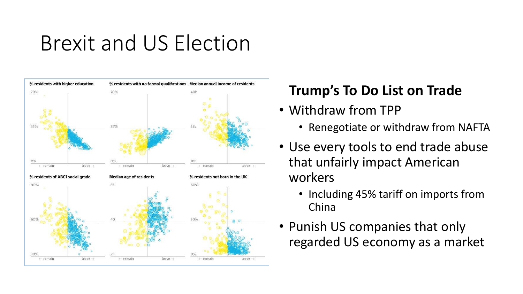## Brexit and US Election



#### **Trump's To Do List on Trade**

- Withdraw from TPP
	- Renegotiate or withdraw from NAFTA
- Use every tools to end trade abuse that unfairly impact American workers
	- Including 45% tariff on imports from China
- Punish US companies that only regarded US economy as a market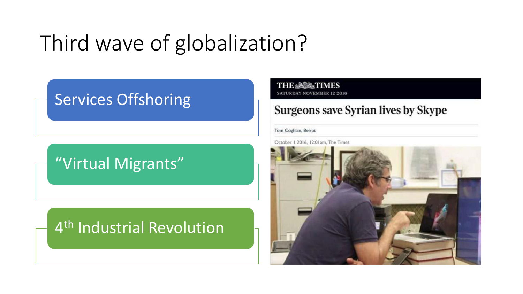## Third wave of globalization?

#### Services Offshoring

### "Virtual Migrants"

### 4<sup>th</sup> Industrial Revolution

#### **THE ASSATIMES SATURDAY NOVEMBER 12 2016**

#### **Surgeons save Syrian lives by Skype**

#### Tom Coghlan, Beirut

October 1 2016, 12:01am, The Times

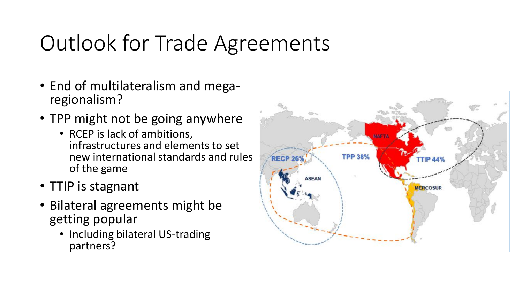## Outlook for Trade Agreements

- End of multilateralism and megaregionalism?
- TPP might not be going anywhere
	- RCEP is lack of ambitions, infrastructures and elements to set new international standards and rules of the game
- TTIP is stagnant
- Bilateral agreements might be getting popular
	- Including bilateral US-trading partners?

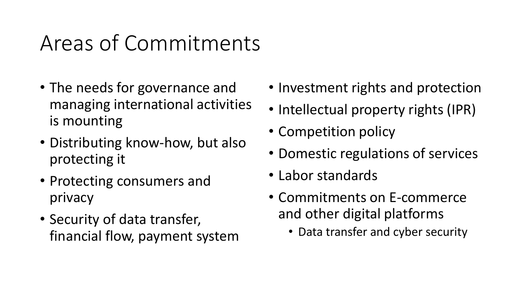## Areas of Commitments

- The needs for governance and managing international activities is mounting
- Distributing know-how, but also protecting it
- Protecting consumers and privacy
- Security of data transfer, financial flow, payment system
- Investment rights and protection
- Intellectual property rights (IPR)
- Competition policy
- Domestic regulations of services
- Labor standards
- Commitments on E-commerce and other digital platforms
	- Data transfer and cyber security